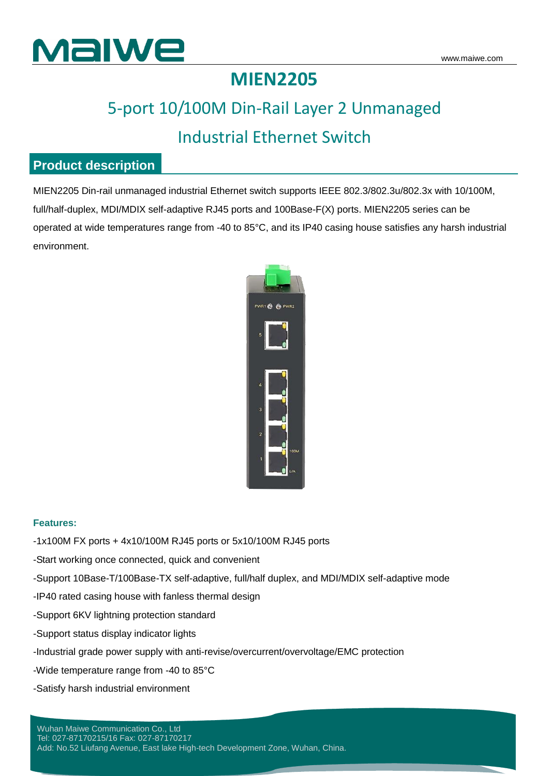

## **MIEN2205**

# 5-port 10/100M Din-Rail Layer 2 Unmanaged Industrial Ethernet Switch

### **Product description**

MIEN2205 Din-rail unmanaged industrial Ethernet switch supports IEEE 802.3/802.3u/802.3x with 10/100M, full/half-duplex, MDI/MDIX self-adaptive RJ45 ports and 100Base-F(X) ports. MIEN2205 series can be operated at wide temperatures range from -40 to 85°C, and its IP40 casing house satisfies any harsh industrial environment.



#### **Features:**

- -1x100M FX ports + 4x10/100M RJ45 ports or 5x10/100M RJ45 ports
- -Start working once connected, quick and convenient
- -Support 10Base-T/100Base-TX self-adaptive, full/half duplex, and MDI/MDIX self-adaptive mode
- -IP40 rated casing house with fanless thermal design
- -Support 6KV lightning protection standard
- -Support status display indicator lights
- -Industrial grade power supply with anti-revise/overcurrent/overvoltage/EMC protection
- -Wide temperature range from -40 to 85°C
- -Satisfy harsh industrial environment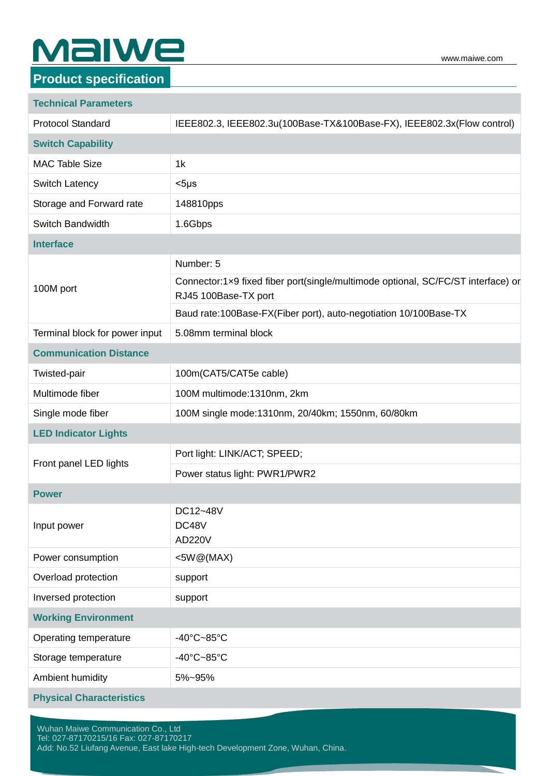# $\mathsf{\mathbf{M}}\mathbf{alwe}_{\mathtt{\mathsf{\mathsf{www}}.\mathtt{\mathsf{main}}\mathsf{\mathsf{even}}}}$

### **Product specification**

#### **Technical Parameters**

| <b>Protocol Standard</b>        | IEEE802.3, IEEE802.3u(100Base-TX&100Base-FX), IEEE802.3x(Flow control)                                   |
|---------------------------------|----------------------------------------------------------------------------------------------------------|
| <b>Switch Capability</b>        |                                                                                                          |
| <b>MAC Table Size</b>           | 1k                                                                                                       |
| Switch Latency                  | $<$ 5µs                                                                                                  |
| Storage and Forward rate        | 148810pps                                                                                                |
| Switch Bandwidth                | 1.6Gbps                                                                                                  |
| <b>Interface</b>                |                                                                                                          |
| 100M port                       | Number: 5                                                                                                |
|                                 | Connector:1x9 fixed fiber port(single/multimode optional, SC/FC/ST interface) or<br>RJ45 100Base-TX port |
|                                 | Baud rate:100Base-FX(Fiber port), auto-negotiation 10/100Base-TX                                         |
| Terminal block for power input  | 5.08mm terminal block                                                                                    |
| <b>Communication Distance</b>   |                                                                                                          |
| Twisted-pair                    | 100m(CAT5/CAT5e cable)                                                                                   |
| Multimode fiber                 | 100M multimode:1310nm, 2km                                                                               |
| Single mode fiber               | 100M single mode:1310nm, 20/40km; 1550nm, 60/80km                                                        |
| <b>LED Indicator Lights</b>     |                                                                                                          |
|                                 | Port light: LINK/ACT; SPEED;                                                                             |
| Front panel LED lights          | Power status light: PWR1/PWR2                                                                            |
| <b>Power</b>                    |                                                                                                          |
| Input power                     | DC12~48V<br>DC48V<br>AD220V                                                                              |
| Power consumption               | $<5W@$ (MAX)                                                                                             |
| Overload protection             | support                                                                                                  |
| Inversed protection             | support                                                                                                  |
| <b>Working Environment</b>      |                                                                                                          |
| Operating temperature           | $-40^{\circ}$ C $-85^{\circ}$ C                                                                          |
| Storage temperature             | $-40^{\circ}$ C $-85^{\circ}$ C                                                                          |
| Ambient humidity                | 5%~95%                                                                                                   |
| <b>Physical Characteristics</b> |                                                                                                          |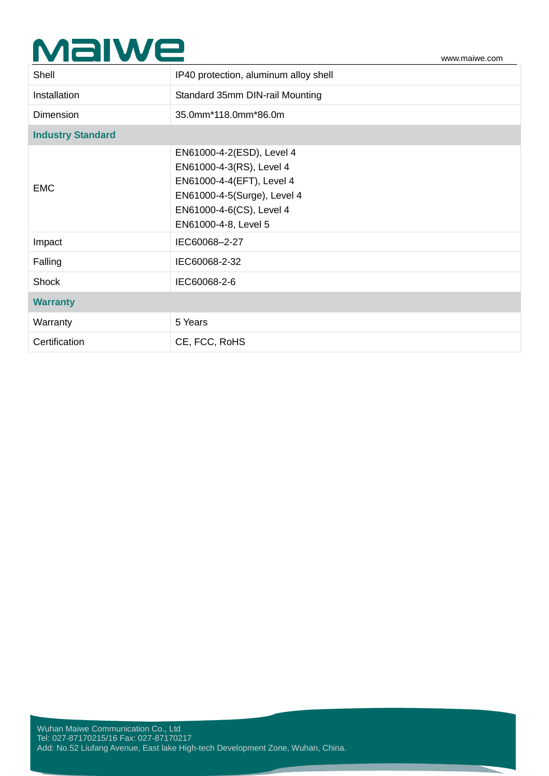# Malwe www.maiwe.com

| Shell                    | IP40 protection, aluminum alloy shell                                                                                                                                 |  |
|--------------------------|-----------------------------------------------------------------------------------------------------------------------------------------------------------------------|--|
| Installation             | Standard 35mm DIN-rail Mounting                                                                                                                                       |  |
| <b>Dimension</b>         | 35.0mm*118.0mm*86.0m                                                                                                                                                  |  |
| <b>Industry Standard</b> |                                                                                                                                                                       |  |
| <b>EMC</b>               | EN61000-4-2(ESD), Level 4<br>EN61000-4-3(RS), Level 4<br>EN61000-4-4(EFT), Level 4<br>EN61000-4-5(Surge), Level 4<br>EN61000-4-6(CS), Level 4<br>EN61000-4-8, Level 5 |  |
| Impact                   | IEC60068-2-27                                                                                                                                                         |  |
| Falling                  | IEC60068-2-32                                                                                                                                                         |  |
| <b>Shock</b>             | IEC60068-2-6                                                                                                                                                          |  |
| <b>Warranty</b>          |                                                                                                                                                                       |  |
| Warranty                 | 5 Years                                                                                                                                                               |  |
| Certification            | CE, FCC, RoHS                                                                                                                                                         |  |